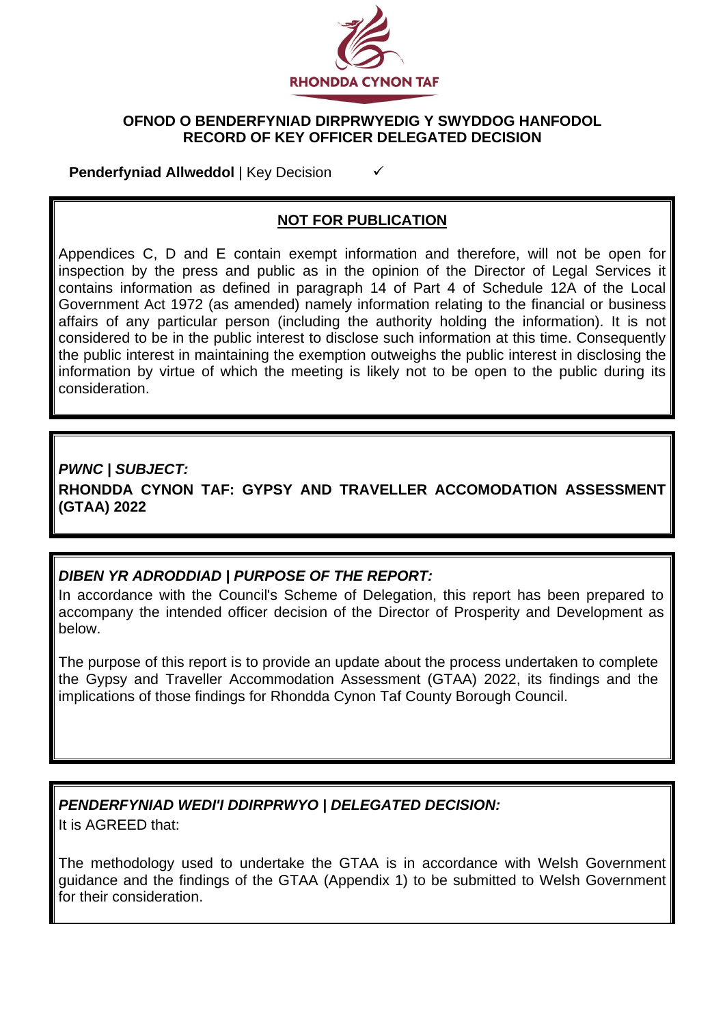

### **OFNOD O BENDERFYNIAD DIRPRWYEDIG Y SWYDDOG HANFODOL RECORD OF KEY OFFICER DELEGATED DECISION**

**Penderfyniad Allweddol** | Key Decision

## **NOT FOR PUBLICATION**

Appendices C, D and E contain exempt information and therefore, will not be open for inspection by the press and public as in the opinion of the Director of Legal Services it contains information as defined in paragraph 14 of Part 4 of Schedule 12A of the Local Government Act 1972 (as amended) namely information relating to the financial or business affairs of any particular person (including the authority holding the information). It is not considered to be in the public interest to disclose such information at this time. Consequently the public interest in maintaining the exemption outweighs the public interest in disclosing the information by virtue of which the meeting is likely not to be open to the public during its consideration.

### *PWNC | SUBJECT:*

**RHONDDA CYNON TAF: GYPSY AND TRAVELLER ACCOMODATION ASSESSMENT (GTAA) 2022**

## *DIBEN YR ADRODDIAD | PURPOSE OF THE REPORT:*

In accordance with the Council's Scheme of Delegation, this report has been prepared to accompany the intended officer decision of the Director of Prosperity and Development as below.

The purpose of this report is to provide an update about the process undertaken to complete the Gypsy and Traveller Accommodation Assessment (GTAA) 2022, its findings and the implications of those findings for Rhondda Cynon Taf County Borough Council.

### *PENDERFYNIAD WEDI'I DDIRPRWYO | DELEGATED DECISION:*  It is AGREED that:

The methodology used to undertake the GTAA is in accordance with Welsh Government guidance and the findings of the GTAA (Appendix 1) to be submitted to Welsh Government for their consideration.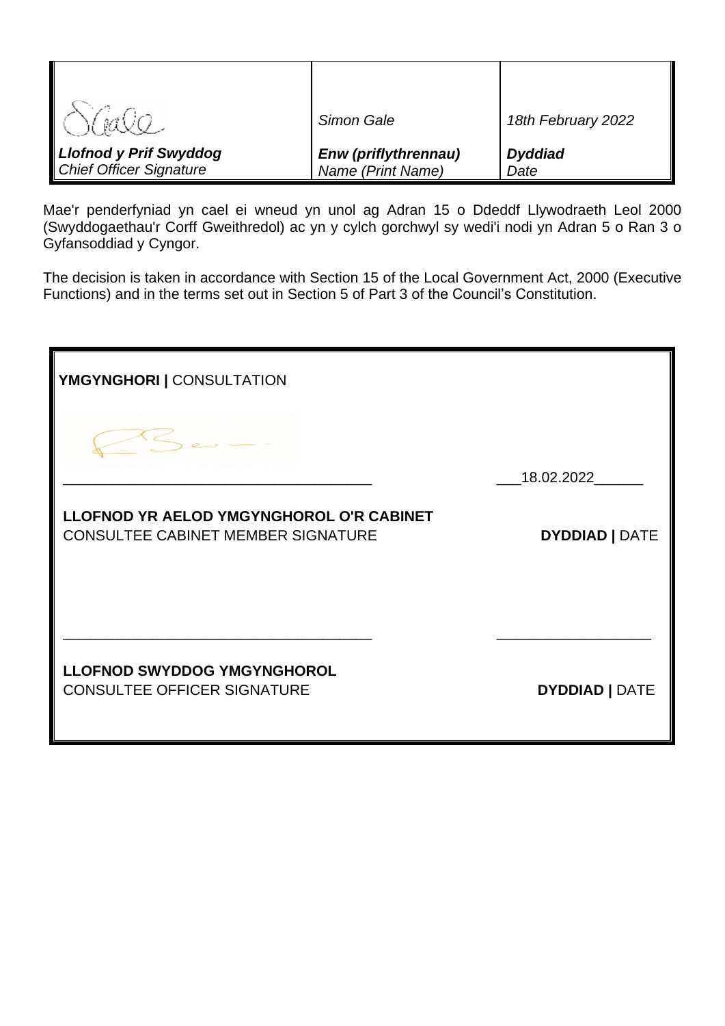|                                | Simon Gale                  | 18th February 2022 |
|--------------------------------|-----------------------------|--------------------|
| <b>Llofnod y Prif Swyddog</b>  | <b>Enw (priflythrennau)</b> | <b>Dyddiad</b>     |
| <b>Chief Officer Signature</b> | Name (Print Name)           | Date               |

Mae'r penderfyniad yn cael ei wneud yn unol ag Adran 15 o Ddeddf Llywodraeth Leol 2000 (Swyddogaethau'r Corff Gweithredol) ac yn y cylch gorchwyl sy wedi'i nodi yn Adran 5 o Ran 3 o Gyfansoddiad y Cyngor.

The decision is taken in accordance with Section 15 of the Local Government Act, 2000 (Executive Functions) and in the terms set out in Section 5 of Part 3 of the Council's Constitution.

| YMGYNGHORI   CONSULTATION                                                             |                       |
|---------------------------------------------------------------------------------------|-----------------------|
|                                                                                       |                       |
|                                                                                       | 18.02.2022            |
| LLOFNOD YR AELOD YMGYNGHOROL O'R CABINET<br><b>CONSULTEE CABINET MEMBER SIGNATURE</b> | <b>DYDDIAD   DATE</b> |
|                                                                                       |                       |
| <b>LLOFNOD SWYDDOG YMGYNGHOROL</b><br><b>CONSULTEE OFFICER SIGNATURE</b>              | <b>DYDDIAD   DATE</b> |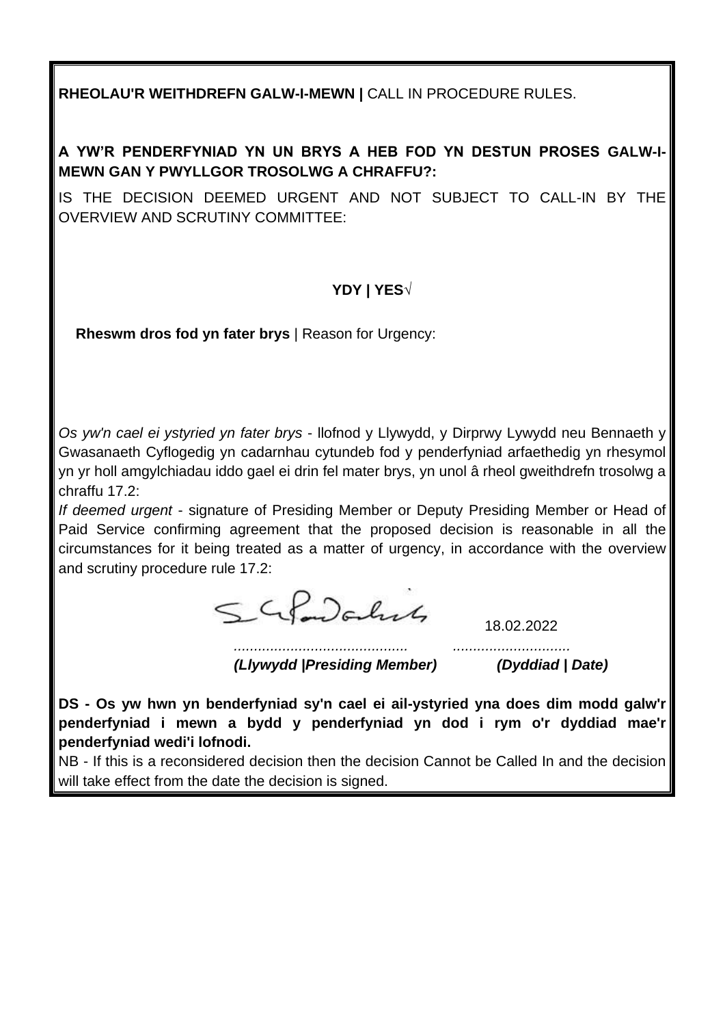**RHEOLAU'R WEITHDREFN GALW-I-MEWN |** CALL IN PROCEDURE RULES.

# **A YW'R PENDERFYNIAD YN UN BRYS A HEB FOD YN DESTUN PROSES GALW-I-MEWN GAN Y PWYLLGOR TROSOLWG A CHRAFFU?:**

IS THE DECISION DEEMED URGENT AND NOT SUBJECT TO CALL-IN BY THE OVERVIEW AND SCRUTINY COMMITTEE:

# **YDY | YES√**

**Rheswm dros fod yn fater brys** | Reason for Urgency:

*Os yw'n cael ei ystyried yn fater brys* - llofnod y Llywydd, y Dirprwy Lywydd neu Bennaeth y Gwasanaeth Cyflogedig yn cadarnhau cytundeb fod y penderfyniad arfaethedig yn rhesymol yn yr holl amgylchiadau iddo gael ei drin fel mater brys, yn unol â rheol gweithdrefn trosolwg a chraffu 17.2:

*If deemed urgent* - signature of Presiding Member or Deputy Presiding Member or Head of Paid Service confirming agreement that the proposed decision is reasonable in all the circumstances for it being treated as a matter of urgency, in accordance with the overview and scrutiny procedure rule 17.2:

SGLOOCHUS

18.02.2022

*........................................... ............................. (Llywydd |Presiding Member) (Dyddiad | Date)*

**DS - Os yw hwn yn benderfyniad sy'n cael ei ail-ystyried yna does dim modd galw'r penderfyniad i mewn a bydd y penderfyniad yn dod i rym o'r dyddiad mae'r penderfyniad wedi'i lofnodi.**

NB - If this is a reconsidered decision then the decision Cannot be Called In and the decision will take effect from the date the decision is signed.